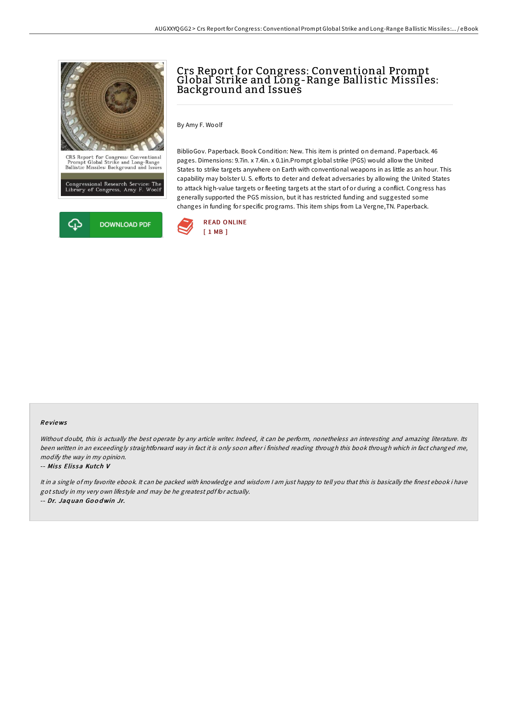



# Crs Report for Congress: Conventional Prompt Global Strike and Long-Range Ballistic Missiles: Background and Issues

By Amy F. Woolf

BiblioGov. Paperback. Book Condition: New. This item is printed on demand. Paperback. 46 pages. Dimensions: 9.7in. x 7.4in. x 0.1in.Prompt global strike (PGS) would allow the United States to strike targets anywhere on Earth with conventional weapons in as little as an hour. This capability may bolster U. S. efforts to deter and defeat adversaries by allowing the United States to attack high-value targets or fleeting targets at the start of or during a conflict. Congress has generally supported the PGS mission, but it has restricted funding and suggested some changes in funding for specific programs. This item ships from La Vergne,TN. Paperback.



#### Re views

Without doubt, this is actually the best operate by any article writer. Indeed, it can be perform, nonetheless an interesting and amazing literature. Its been written in an exceedingly straightforward way in fact it is only soon after i finished reading through this book through which in fact changed me, modify the way in my opinion.

#### -- Miss Elissa Kutch V

It in <sup>a</sup> single of my favorite ebook. It can be packed with knowledge and wisdom <sup>I</sup> am just happy to tell you that this is basically the finest ebook i have got study in my very own lifestyle and may be he greatest pdf for actually. -- Dr. Jaq uan Go <sup>o</sup> dwin Jr.